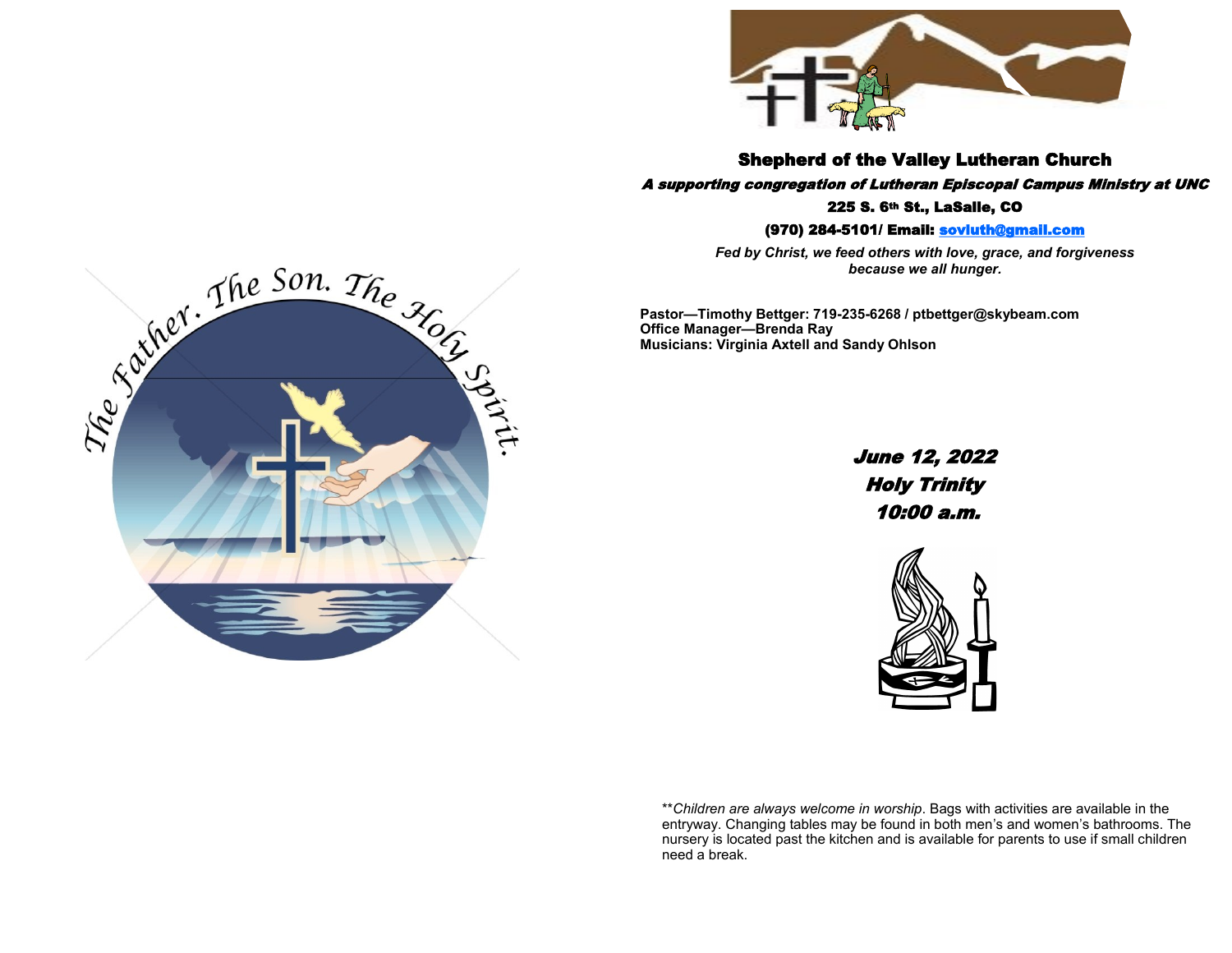

Shepherd of the Valley Lutheran Church

A supporting congregation of Lutheran Episcopal Campus Ministry at UNC 225 S. 6th St., LaSalle, CO

(970) 284-5101/ Email: [sovluth@gmail.com](mailto:sovluth@outlook.com)

*Fed by Christ, we feed others with love, grace, and forgiveness because we all hunger.*

**Pastor—Timothy Bettger: 719-235-6268 / ptbettger@skybeam.com Office Manager—Brenda Ray Musicians: Virginia Axtell and Sandy Ohlson**

> June 12, 2022 Holy Trinity 10:00 a.m.



\*\**Children are always welcome in worship*. Bags with activities are available in the entryway. Changing tables may be found in both men's and women's bathrooms. The nursery is located past the kitchen and is available for parents to use if small children need a break.